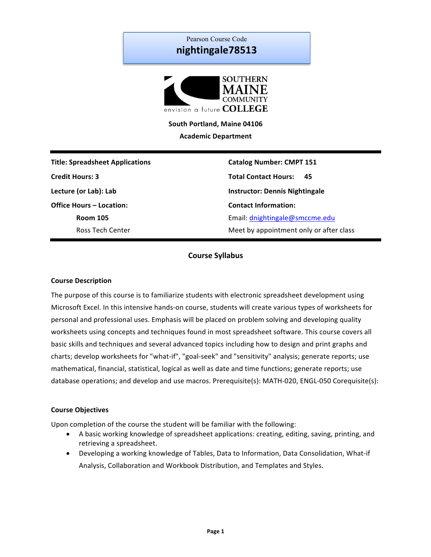# Pearson Course Code **nightingale78513**



South Portland, Maine 04106 **Academic Department**

**Title: Spreadsheet Applications Catalog Number: CMPT 151 Credit Hours: 3 Total Contact Hours: 45 Lecture (or Lab): Lab Instructor:** Dennis Nightingale **Office Hours – Location: Contact Information: Contact Information:** 

**Room 105 Email:** dnightingale@smccme.edu Ross Tech Center **Meet** by appointment only or after class

# **Course Syllabus**

### **Course Description**

The purpose of this course is to familiarize students with electronic spreadsheet development using Microsoft Excel. In this intensive hands-on course, students will create various types of worksheets for personal and professional uses. Emphasis will be placed on problem solving and developing quality worksheets using concepts and techniques found in most spreadsheet software. This course covers all basic skills and techniques and several advanced topics including how to design and print graphs and charts; develop worksheets for "what-if", "goal-seek" and "sensitivity" analysis; generate reports; use mathematical, financial, statistical, logical as well as date and time functions; generate reports; use database operations; and develop and use macros. Prerequisite(s): MATH-020, ENGL-050 Corequisite(s):

#### **Course Objectives**

Upon completion of the course the student will be familiar with the following:

- A basic working knowledge of spreadsheet applications: creating, editing, saving, printing, and retrieving a spreadsheet.
- Developing a working knowledge of Tables, Data to Information, Data Consolidation, What-if Analysis, Collaboration and Workbook Distribution, and Templates and Styles.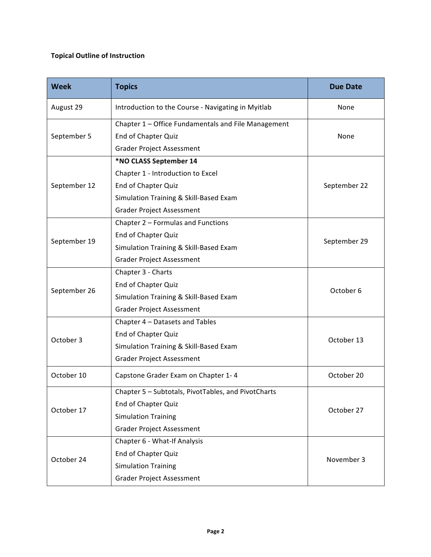# **Topical Outline of Instruction**

| <b>Week</b>  | <b>Topics</b>                                       | <b>Due Date</b> |  |
|--------------|-----------------------------------------------------|-----------------|--|
| August 29    | Introduction to the Course - Navigating in Myitlab  | None            |  |
| September 5  | Chapter 1 - Office Fundamentals and File Management | None            |  |
|              | End of Chapter Quiz                                 |                 |  |
|              | <b>Grader Project Assessment</b>                    |                 |  |
| September 12 | *NO CLASS September 14                              | September 22    |  |
|              | Chapter 1 - Introduction to Excel                   |                 |  |
|              | End of Chapter Quiz                                 |                 |  |
|              | Simulation Training & Skill-Based Exam              |                 |  |
|              | <b>Grader Project Assessment</b>                    |                 |  |
|              | Chapter 2 - Formulas and Functions                  | September 29    |  |
|              | End of Chapter Quiz                                 |                 |  |
| September 19 | Simulation Training & Skill-Based Exam              |                 |  |
|              | <b>Grader Project Assessment</b>                    |                 |  |
|              | Chapter 3 - Charts                                  | October 6       |  |
|              | End of Chapter Quiz                                 |                 |  |
| September 26 | Simulation Training & Skill-Based Exam              |                 |  |
|              | <b>Grader Project Assessment</b>                    |                 |  |
|              | Chapter 4 - Datasets and Tables                     |                 |  |
|              | End of Chapter Quiz                                 |                 |  |
| October 3    | Simulation Training & Skill-Based Exam              | October 13      |  |
|              | <b>Grader Project Assessment</b>                    |                 |  |
| October 10   | Capstone Grader Exam on Chapter 1-4                 | October 20      |  |
| October 17   | Chapter 5 - Subtotals, PivotTables, and PivotCharts |                 |  |
|              | End of Chapter Quiz                                 |                 |  |
|              | <b>Simulation Training</b>                          | October 27      |  |
|              | <b>Grader Project Assessment</b>                    |                 |  |
| October 24   | Chapter 6 - What-If Analysis                        |                 |  |
|              | <b>End of Chapter Quiz</b>                          |                 |  |
|              | <b>Simulation Training</b>                          | November 3      |  |
|              | <b>Grader Project Assessment</b>                    |                 |  |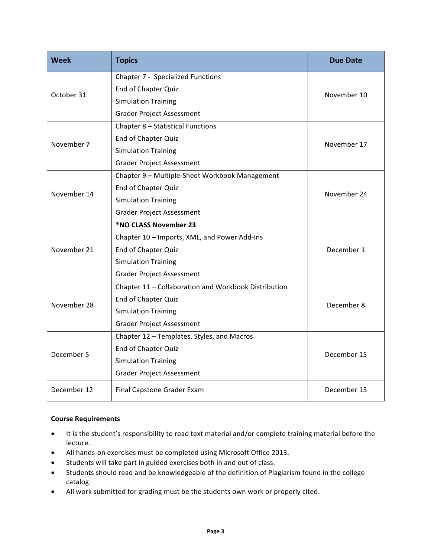| <b>Week</b> | <b>Topics</b>                                        | <b>Due Date</b> |  |
|-------------|------------------------------------------------------|-----------------|--|
| October 31  | <b>Chapter 7 - Specialized Functions</b>             | November 10     |  |
|             | End of Chapter Quiz                                  |                 |  |
|             | <b>Simulation Training</b>                           |                 |  |
|             | <b>Grader Project Assessment</b>                     |                 |  |
| November 7  | Chapter 8 - Statistical Functions                    | November 17     |  |
|             | End of Chapter Quiz                                  |                 |  |
|             | <b>Simulation Training</b>                           |                 |  |
|             | <b>Grader Project Assessment</b>                     |                 |  |
|             | Chapter 9 - Multiple-Sheet Workbook Management       | November 24     |  |
| November 14 | End of Chapter Quiz                                  |                 |  |
|             | <b>Simulation Training</b>                           |                 |  |
|             | <b>Grader Project Assessment</b>                     |                 |  |
| November 21 | *NO CLASS November 23                                | December 1      |  |
|             | Chapter 10 - Imports, XML, and Power Add-Ins         |                 |  |
|             | End of Chapter Quiz                                  |                 |  |
|             | <b>Simulation Training</b>                           |                 |  |
|             | <b>Grader Project Assessment</b>                     |                 |  |
| November 28 | Chapter 11 - Collaboration and Workbook Distribution | December 8      |  |
|             | End of Chapter Quiz                                  |                 |  |
|             | <b>Simulation Training</b>                           |                 |  |
|             | <b>Grader Project Assessment</b>                     |                 |  |
| December 5  | Chapter 12 - Templates, Styles, and Macros           |                 |  |
|             | End of Chapter Quiz                                  | December 15     |  |
|             | <b>Simulation Training</b>                           |                 |  |
|             | <b>Grader Project Assessment</b>                     |                 |  |
| December 12 | Final Capstone Grader Exam                           | December 15     |  |

# **Course Requirements**

- It is the student's responsibility to read text material and/or complete training material before the lecture.
- All hands-on exercises must be completed using Microsoft Office 2013.
- Students will take part in guided exercises both in and out of class.
- Students should read and be knowledgeable of the definition of Plagiarism found in the college catalog.
- All work submitted for grading must be the students own work or properly cited.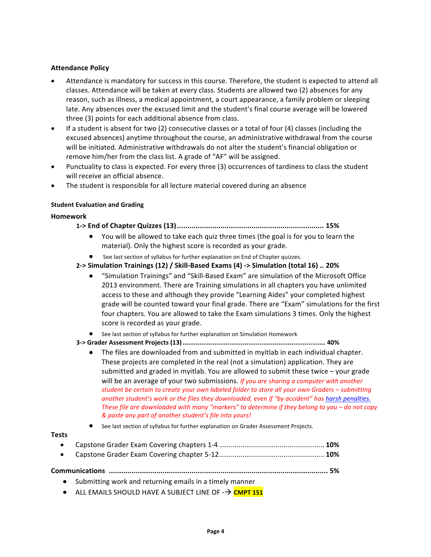# **Attendance Policy**

- Attendance is mandatory for success in this course. Therefore, the student is expected to attend all classes. Attendance will be taken at every class. Students are allowed two (2) absences for any reason, such as illness, a medical appointment, a court appearance, a family problem or sleeping late. Any absences over the excused limit and the student's final course average will be lowered three (3) points for each additional absence from class.
- If a student is absent for two (2) consecutive classes or a total of four (4) classes (including the excused absences) anytime throughout the course, an administrative withdrawal from the course will be initiated. Administrative withdrawals do not alter the student's financial obligation or remove him/her from the class list. A grade of "AF" will be assigned.
- Punctuality to class is expected. For every three (3) occurrences of tardiness to class the student will receive an official absence.
- The student is responsible for all lecture material covered during an absence

#### **Student Evaluation and Grading**

#### **Homework**

#### **1-> End of Chapter Quizzes (13)....................................................................... 15%**

- You will be allowed to take each quiz three times (the goal is for you to learn the material). Only the highest score is recorded as your grade.
- See last section of syllabus for further explanation on End of Chapter quizzes.

#### **2-> Simulation Trainings (12) / Skill-Based Exams (4) -> Simulation (total 16) .. 20%**

- "Simulation Trainings" and "Skill-Based Exam" are simulation of the Microsoft Office 2013 environment. There are Training simulations in all chapters you have unlimited access to these and although they provide "Learning Aides" your completed highest grade will be counted toward your final grade. There are "Exam" simulations for the first four chapters. You are allowed to take the Exam simulations 3 times. Only the highest score is recorded as your grade.
- See last section of syllabus for further explanation on Simulation Homework
- **3-> Grader Assessment Projects (13)............................................................................ 40%**
	- $\bullet$  The files are downloaded from and submitted in myitlab in each individual chapter. These projects are completed in the real (not a simulation) application. They are submitted and graded in myitlab. You are allowed to submit these twice  $-$  your grade will be an average of your two submissions. *If you are sharing a computer with another* student be certain to create your own labeled folder to store all your own Graders - submitting another student's work or the files they downloaded, even if "by accident" has harsh penalties. *These file are downloaded with many "markers" to determine if they belong to you – do not copy & paste any part of another student's file into yours!*
	- See last section of syllabus for further explanation on Grader Assessment Projects.

#### **Tests**

• Capstone Grader Exam Covering chapters 1-4 ...................................................... **10%** • Capstone Grader Exam Covering chapter 5-12...................................................... **10%**

**Communications .......................................................................................................... 5%**

- Submitting work and returning emails in a timely manner
- ALL EMAILS SHOULD HAVE A SUBJECT LINE OF  $\rightarrow$  **CMPT 151**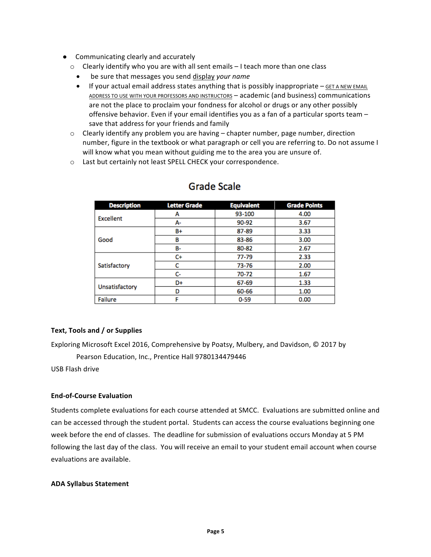- Communicating clearly and accurately
	- $\circ$  Clearly identify who you are with all sent emails  $-1$  teach more than one class
		- be sure that messages you send display *your name*
		- If your actual email address states anything that is possibly inappropriate  $-$  GET A NEW EMAIL ADDRESS TO USE WITH YOUR PROFESSORS AND INSTRUCTORS - academic (and business) communications are not the place to proclaim your fondness for alcohol or drugs or any other possibly offensive behavior. Even if your email identifies you as a fan of a particular sports team save that address for your friends and family
	- $\circ$  Clearly identify any problem you are having chapter number, page number, direction number, figure in the textbook or what paragraph or cell you are referring to. Do not assume I will know what you mean without guiding me to the area you are unsure of.
	- o Last but certainly not least SPELL CHECK your correspondence.

| <b>Description</b> | <b>Letter Grade</b> | <b>Equivalent</b> | <b>Grade Points</b> |
|--------------------|---------------------|-------------------|---------------------|
| Excellent          | А                   | 93-100            | 4.00                |
|                    | А-                  | 90-92             | 3.67                |
|                    | B+                  | 87-89             | 3.33                |
| Good               | в                   | 83-86             | 3.00                |
|                    | B-                  | 80-82             | 2.67                |
|                    | C+                  | 77-79             | 2.33                |
| Satisfactory       | c                   | 73-76             | 2.00                |
|                    | c-                  | 70-72             | 1.67                |
| Unsatisfactory     | D+                  | 67-69             | 1.33                |
|                    | D                   | 60-66             | 1.00                |
| <b>Failure</b>     |                     | $0 - 59$          | 0.00                |

# **Grade Scale**

# **Text, Tools and / or Supplies**

Exploring Microsoft Excel 2016, Comprehensive by Poatsy, Mulbery, and Davidson, © 2017 by Pearson Education, Inc., Prentice Hall 9780134479446

USB Flash drive

# **End-of-Course Evaluation**

Students complete evaluations for each course attended at SMCC. Evaluations are submitted online and can be accessed through the student portal. Students can access the course evaluations beginning one week before the end of classes. The deadline for submission of evaluations occurs Monday at 5 PM following the last day of the class. You will receive an email to your student email account when course evaluations are available.

#### **ADA Syllabus Statement**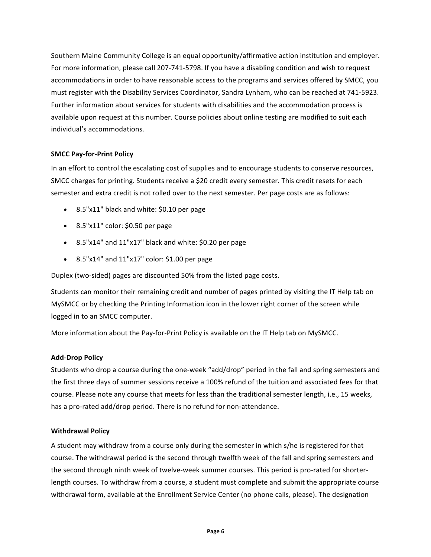Southern Maine Community College is an equal opportunity/affirmative action institution and employer. For more information, please call 207-741-5798. If you have a disabling condition and wish to request accommodations in order to have reasonable access to the programs and services offered by SMCC, you must register with the Disability Services Coordinator, Sandra Lynham, who can be reached at 741-5923. Further information about services for students with disabilities and the accommodation process is available upon request at this number. Course policies about online testing are modified to suit each individual's accommodations.

# **SMCC Pay-for-Print Policy**

In an effort to control the escalating cost of supplies and to encourage students to conserve resources, SMCC charges for printing. Students receive a \$20 credit every semester. This credit resets for each semester and extra credit is not rolled over to the next semester. Per page costs are as follows:

- 8.5"x11" black and white: \$0.10 per page
- $\bullet$  8.5"x11" color: \$0.50 per page
- 8.5"x14" and 11"x17" black and white: \$0.20 per page
- $8.5"x14"$  and  $11"x17"$  color: \$1.00 per page

Duplex (two-sided) pages are discounted 50% from the listed page costs.

Students can monitor their remaining credit and number of pages printed by visiting the IT Help tab on MySMCC or by checking the Printing Information icon in the lower right corner of the screen while logged in to an SMCC computer.

More information about the Pay-for-Print Policy is available on the IT Help tab on MySMCC.

# **Add-Drop Policy**

Students who drop a course during the one-week "add/drop" period in the fall and spring semesters and the first three days of summer sessions receive a 100% refund of the tuition and associated fees for that course. Please note any course that meets for less than the traditional semester length, i.e., 15 weeks, has a pro-rated add/drop period. There is no refund for non-attendance.

# **Withdrawal Policy**

A student may withdraw from a course only during the semester in which s/he is registered for that course. The withdrawal period is the second through twelfth week of the fall and spring semesters and the second through ninth week of twelve-week summer courses. This period is pro-rated for shorterlength courses. To withdraw from a course, a student must complete and submit the appropriate course withdrawal form, available at the Enrollment Service Center (no phone calls, please). The designation